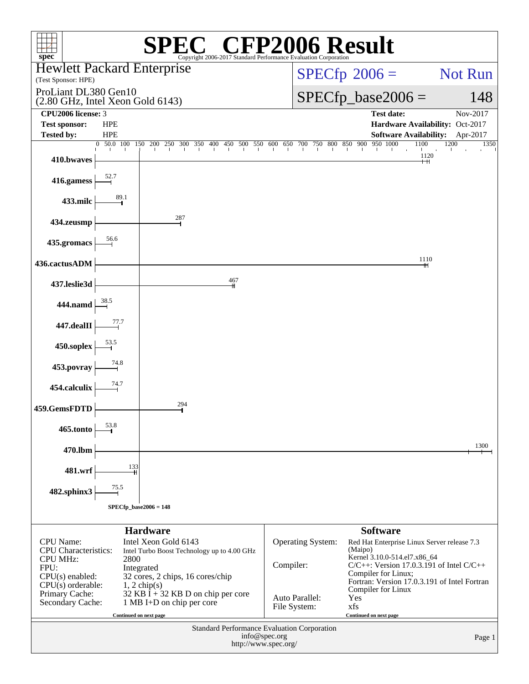| $\mathbb{C}^{\circledast}$ CFP2006 Result<br>spec <sup>®</sup><br>Copyright 2006-2017 Standard Performance Evaluation Corporation |                                                                                                                                                         |                        |                                |            |                                                                                                                                                                |                                                         |
|-----------------------------------------------------------------------------------------------------------------------------------|---------------------------------------------------------------------------------------------------------------------------------------------------------|------------------------|--------------------------------|------------|----------------------------------------------------------------------------------------------------------------------------------------------------------------|---------------------------------------------------------|
| <b>Hewlett Packard Enterprise</b><br>(Test Sponsor: HPE)                                                                          |                                                                                                                                                         | $SPECfp^{\circ}2006 =$ |                                | Not Run    |                                                                                                                                                                |                                                         |
| ProLiant DL380 Gen10<br>$(2.80 \text{ GHz}, \text{Intel Xeon Gold } 6143)$                                                        |                                                                                                                                                         |                        |                                |            | $SPECfp\_base2006 =$                                                                                                                                           | 148                                                     |
| CPU2006 license: 3                                                                                                                |                                                                                                                                                         |                        |                                |            | <b>Test date:</b>                                                                                                                                              | Nov-2017                                                |
| <b>Test sponsor:</b><br><b>HPE</b>                                                                                                |                                                                                                                                                         |                        |                                |            |                                                                                                                                                                | Hardware Availability: Oct-2017                         |
| <b>Tested by:</b><br><b>HPE</b><br>0 50.0 100 150 200                                                                             | 250 300 350 400 450 500 550 600                                                                                                                         | 650                    | 700<br>750                     | 800<br>850 | 950 1000<br>900                                                                                                                                                | Software Availability: Apr-2017<br>1200<br>1100<br>1350 |
| 410.bwaves                                                                                                                        |                                                                                                                                                         |                        |                                |            |                                                                                                                                                                | 1120                                                    |
| 52.7<br>416.gamess                                                                                                                |                                                                                                                                                         |                        |                                |            |                                                                                                                                                                |                                                         |
| 89.1<br>433.milc                                                                                                                  |                                                                                                                                                         |                        |                                |            |                                                                                                                                                                |                                                         |
| 434.zeusmp                                                                                                                        | 287                                                                                                                                                     |                        |                                |            |                                                                                                                                                                |                                                         |
| 56.6<br>435.gromacs                                                                                                               |                                                                                                                                                         |                        |                                |            |                                                                                                                                                                |                                                         |
| 436.cactusADM                                                                                                                     | 467                                                                                                                                                     |                        |                                |            |                                                                                                                                                                | 1110                                                    |
| 437.leslie3d                                                                                                                      |                                                                                                                                                         |                        |                                |            |                                                                                                                                                                |                                                         |
| 444.namd<br>77.7                                                                                                                  |                                                                                                                                                         |                        |                                |            |                                                                                                                                                                |                                                         |
| 447.dealII<br>450.soplex                                                                                                          |                                                                                                                                                         |                        |                                |            |                                                                                                                                                                |                                                         |
| 74.8<br>453.povray                                                                                                                |                                                                                                                                                         |                        |                                |            |                                                                                                                                                                |                                                         |
| 74.7<br>454.calculix                                                                                                              |                                                                                                                                                         |                        |                                |            |                                                                                                                                                                |                                                         |
| 459.GemsFDTD                                                                                                                      | 294                                                                                                                                                     |                        |                                |            |                                                                                                                                                                |                                                         |
| 53.8<br>465.tonto                                                                                                                 |                                                                                                                                                         |                        |                                |            |                                                                                                                                                                |                                                         |
| 470.lbm                                                                                                                           |                                                                                                                                                         |                        |                                |            |                                                                                                                                                                | 1300                                                    |
| 133<br>481.wrf                                                                                                                    |                                                                                                                                                         |                        |                                |            |                                                                                                                                                                |                                                         |
| 75.5<br>482.sphinx3                                                                                                               |                                                                                                                                                         |                        |                                |            |                                                                                                                                                                |                                                         |
| $SPECfp\_base2006 = 148$                                                                                                          |                                                                                                                                                         |                        |                                |            |                                                                                                                                                                |                                                         |
|                                                                                                                                   | <b>Hardware</b>                                                                                                                                         |                        |                                |            | <b>Software</b>                                                                                                                                                |                                                         |
| <b>CPU</b> Name:<br><b>CPU</b> Characteristics:<br><b>CPU MHz:</b><br>2800<br>FPU:<br>$CPU(s)$ enabled:                           | Intel Xeon Gold 6143<br>Intel Turbo Boost Technology up to 4.00 GHz<br>Integrated                                                                       | Compiler:              | Operating System:              |            | Red Hat Enterprise Linux Server release 7.3<br>(Maipo)<br>Kernel 3.10.0-514.el7.x86_64<br>$C/C++$ : Version 17.0.3.191 of Intel $C/C++$<br>Compiler for Linux; |                                                         |
| $CPU(s)$ orderable:<br>Primary Cache:<br>Secondary Cache:                                                                         | 32 cores, 2 chips, 16 cores/chip<br>$1, 2$ chip(s)<br>32 KB $\bar{I}$ + 32 KB D on chip per core<br>1 MB I+D on chip per core<br>Continued on next page |                        | Auto Parallel:<br>File System: |            | Compiler for Linux<br>Yes<br>xfs<br>Continued on next page                                                                                                     | Fortran: Version 17.0.3.191 of Intel Fortran            |
| Standard Performance Evaluation Corporation<br>info@spec.org<br>Page 1<br>http://www.spec.org/                                    |                                                                                                                                                         |                        |                                |            |                                                                                                                                                                |                                                         |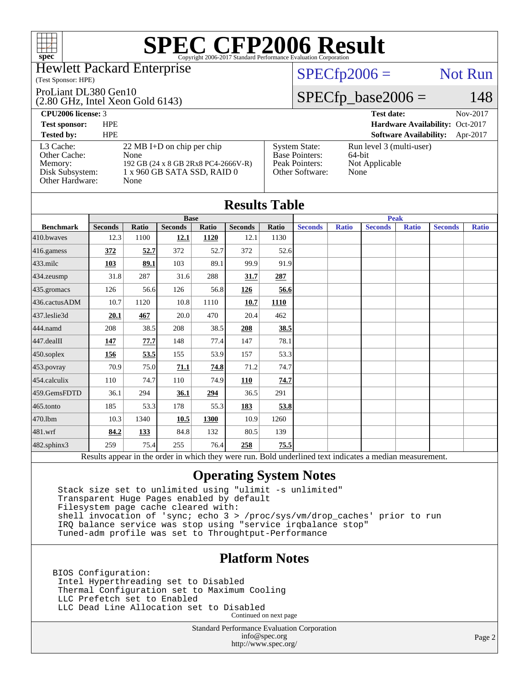#### Hewlett Packard Enterprise

#### (Test Sponsor: HPE)

ProLiant DL380 Gen10

(2.80 GHz, Intel Xeon Gold 6143)

#### $SPECTp2006 =$  Not Run

## $SPECfp\_base2006 = 148$

**[CPU2006 license:](http://www.spec.org/auto/cpu2006/Docs/result-fields.html#CPU2006license)** 3 **[Test date:](http://www.spec.org/auto/cpu2006/Docs/result-fields.html#Testdate)** Nov-2017 **[Test sponsor:](http://www.spec.org/auto/cpu2006/Docs/result-fields.html#Testsponsor)** HPE **[Hardware Availability:](http://www.spec.org/auto/cpu2006/Docs/result-fields.html#HardwareAvailability)** Oct-2017 **[Tested by:](http://www.spec.org/auto/cpu2006/Docs/result-fields.html#Testedby)** HPE **[Software Availability:](http://www.spec.org/auto/cpu2006/Docs/result-fields.html#SoftwareAvailability)** Apr-2017 [L3 Cache:](http://www.spec.org/auto/cpu2006/Docs/result-fields.html#L3Cache) 22 MB I+D on chip per chip<br>Other Cache: None [Other Cache:](http://www.spec.org/auto/cpu2006/Docs/result-fields.html#OtherCache) [Memory:](http://www.spec.org/auto/cpu2006/Docs/result-fields.html#Memory) 192 GB (24 x 8 GB 2Rx8 PC4-2666V-R) [Disk Subsystem:](http://www.spec.org/auto/cpu2006/Docs/result-fields.html#DiskSubsystem) 1 x 960 GB SATA SSD, RAID 0 [Other Hardware:](http://www.spec.org/auto/cpu2006/Docs/result-fields.html#OtherHardware) None [System State:](http://www.spec.org/auto/cpu2006/Docs/result-fields.html#SystemState) Run level 3 (multi-user)<br>Base Pointers: 64-bit [Base Pointers:](http://www.spec.org/auto/cpu2006/Docs/result-fields.html#BasePointers) [Peak Pointers:](http://www.spec.org/auto/cpu2006/Docs/result-fields.html#PeakPointers) Not Applicable [Other Software:](http://www.spec.org/auto/cpu2006/Docs/result-fields.html#OtherSoftware) None

|                  |                |              |                |       | <b>Results Table</b> |             |                |              |                                                                                                          |              |                |              |
|------------------|----------------|--------------|----------------|-------|----------------------|-------------|----------------|--------------|----------------------------------------------------------------------------------------------------------|--------------|----------------|--------------|
|                  | <b>Base</b>    |              |                |       |                      | <b>Peak</b> |                |              |                                                                                                          |              |                |              |
| <b>Benchmark</b> | <b>Seconds</b> | <b>Ratio</b> | <b>Seconds</b> | Ratio | <b>Seconds</b>       | Ratio       | <b>Seconds</b> | <b>Ratio</b> | <b>Seconds</b>                                                                                           | <b>Ratio</b> | <b>Seconds</b> | <b>Ratio</b> |
| 410.bwayes       | 12.3           | 1100         | 12.1           | 1120  | 12.1                 | 1130        |                |              |                                                                                                          |              |                |              |
| 416.gamess       | 372            | 52.7         | 372            | 52.7  | 372                  | 52.6        |                |              |                                                                                                          |              |                |              |
| $433$ .milc      | 103            | 89.1         | 103            | 89.1  | 99.9                 | 91.9        |                |              |                                                                                                          |              |                |              |
| $434$ . zeusmp   | 31.8           | 287          | 31.6           | 288   | 31.7                 | 287         |                |              |                                                                                                          |              |                |              |
| 435.gromacs      | 126            | 56.6         | 126            | 56.8  | 126                  | 56.6        |                |              |                                                                                                          |              |                |              |
| 436.cactusADM    | 10.7           | 1120         | 10.8           | 1110  | 10.7                 | 1110        |                |              |                                                                                                          |              |                |              |
| 437.leslie3d     | 20.1           | 467          | 20.0           | 470   | 20.4                 | 462         |                |              |                                                                                                          |              |                |              |
| 444.namd         | 208            | 38.5         | 208            | 38.5  | 208                  | 38.5        |                |              |                                                                                                          |              |                |              |
| $447$ .dealII    | 147            | 77.7         | 148            | 77.4  | 147                  | 78.1        |                |              |                                                                                                          |              |                |              |
| $450$ .soplex    | 156            | 53.5         | 155            | 53.9  | 157                  | 53.3        |                |              |                                                                                                          |              |                |              |
| 453.povray       | 70.9           | 75.0         | 71.1           | 74.8  | 71.2                 | 74.7        |                |              |                                                                                                          |              |                |              |
| 454.calculix     | 110            | 74.7         | 110            | 74.9  | 110                  | 74.7        |                |              |                                                                                                          |              |                |              |
| 459.GemsFDTD     | 36.1           | 294          | 36.1           | 294   | 36.5                 | 291         |                |              |                                                                                                          |              |                |              |
| $465$ .tonto     | 185            | 53.3         | 178            | 55.3  | 183                  | 53.8        |                |              |                                                                                                          |              |                |              |
| 470.1bm          | 10.3           | 1340         | 10.5           | 1300  | 10.9                 | 1260        |                |              |                                                                                                          |              |                |              |
| 481.wrf          | 84.2           | 133          | 84.8           | 132   | 80.5                 | 139         |                |              |                                                                                                          |              |                |              |
| 482.sphinx3      | 259            | 75.4         | 255            | 76.4  | 258                  | 75.5        |                |              |                                                                                                          |              |                |              |
|                  |                |              |                |       |                      |             |                |              | Results appear in the order in which they were run. Bold underlined text indicates a median measurement. |              |                |              |

### **[Operating System Notes](http://www.spec.org/auto/cpu2006/Docs/result-fields.html#OperatingSystemNotes)**

 Stack size set to unlimited using "ulimit -s unlimited" Transparent Huge Pages enabled by default Filesystem page cache cleared with: shell invocation of 'sync; echo 3 > /proc/sys/vm/drop\_caches' prior to run IRQ balance service was stop using "service irqbalance stop" Tuned-adm profile was set to Throughtput-Performance

### **[Platform Notes](http://www.spec.org/auto/cpu2006/Docs/result-fields.html#PlatformNotes)**

BIOS Configuration: Intel Hyperthreading set to Disabled Thermal Configuration set to Maximum Cooling LLC Prefetch set to Enabled LLC Dead Line Allocation set to Disabled Continued on next page

> Standard Performance Evaluation Corporation [info@spec.org](mailto:info@spec.org) <http://www.spec.org/>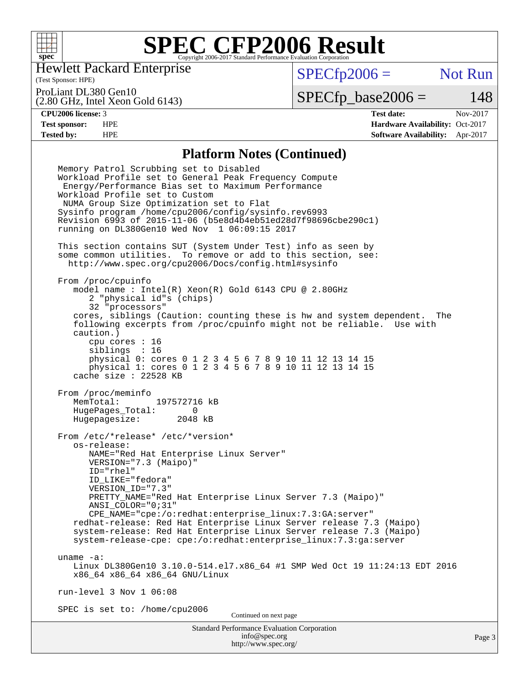

Hewlett Packard Enterprise

(Test Sponsor: HPE)

 $SPECfp2006 =$  Not Run

ProLiant DL380 Gen10

(2.80 GHz, Intel Xeon Gold 6143)

 $SPECTp\_base2006 = 148$ 

**[CPU2006 license:](http://www.spec.org/auto/cpu2006/Docs/result-fields.html#CPU2006license)** 3 **[Test date:](http://www.spec.org/auto/cpu2006/Docs/result-fields.html#Testdate)** Nov-2017 **[Test sponsor:](http://www.spec.org/auto/cpu2006/Docs/result-fields.html#Testsponsor)** HPE **[Hardware Availability:](http://www.spec.org/auto/cpu2006/Docs/result-fields.html#HardwareAvailability)** Oct-2017 **[Tested by:](http://www.spec.org/auto/cpu2006/Docs/result-fields.html#Testedby)** HPE **[Software Availability:](http://www.spec.org/auto/cpu2006/Docs/result-fields.html#SoftwareAvailability)** Apr-2017

#### **[Platform Notes \(Continued\)](http://www.spec.org/auto/cpu2006/Docs/result-fields.html#PlatformNotes)**

Standard Performance Evaluation Corporation [info@spec.org](mailto:info@spec.org) <http://www.spec.org/> Memory Patrol Scrubbing set to Disabled Workload Profile set to General Peak Frequency Compute Energy/Performance Bias set to Maximum Performance Workload Profile set to Custom NUMA Group Size Optimization set to Flat Sysinfo program /home/cpu2006/config/sysinfo.rev6993 Revision 6993 of 2015-11-06 (b5e8d4b4eb51ed28d7f98696cbe290c1) running on DL380Gen10 Wed Nov 1 06:09:15 2017 This section contains SUT (System Under Test) info as seen by some common utilities. To remove or add to this section, see: <http://www.spec.org/cpu2006/Docs/config.html#sysinfo> From /proc/cpuinfo model name : Intel(R) Xeon(R) Gold 6143 CPU @ 2.80GHz 2 "physical id"s (chips) 32 "processors" cores, siblings (Caution: counting these is hw and system dependent. The following excerpts from /proc/cpuinfo might not be reliable. Use with caution.) cpu cores : 16 siblings : 16 physical 0: cores 0 1 2 3 4 5 6 7 8 9 10 11 12 13 14 15 physical 1: cores 0 1 2 3 4 5 6 7 8 9 10 11 12 13 14 15 cache size : 22528 KB From /proc/meminfo<br>MemTotal: 197572716 kB MemTotal: HugePages\_Total: 0 Hugepagesize: 2048 kB From /etc/\*release\* /etc/\*version\* os-release: NAME="Red Hat Enterprise Linux Server" VERSION="7.3 (Maipo)" ID="rhel" ID\_LIKE="fedora" VERSION\_ID="7.3" PRETTY\_NAME="Red Hat Enterprise Linux Server 7.3 (Maipo)" ANSI\_COLOR="0;31" CPE\_NAME="cpe:/o:redhat:enterprise\_linux:7.3:GA:server" redhat-release: Red Hat Enterprise Linux Server release 7.3 (Maipo) system-release: Red Hat Enterprise Linux Server release 7.3 (Maipo) system-release-cpe: cpe:/o:redhat:enterprise\_linux:7.3:ga:server uname -a: Linux DL380Gen10 3.10.0-514.el7.x86\_64 #1 SMP Wed Oct 19 11:24:13 EDT 2016 x86\_64 x86\_64 x86\_64 GNU/Linux run-level 3 Nov 1 06:08 SPEC is set to: /home/cpu2006 Continued on next page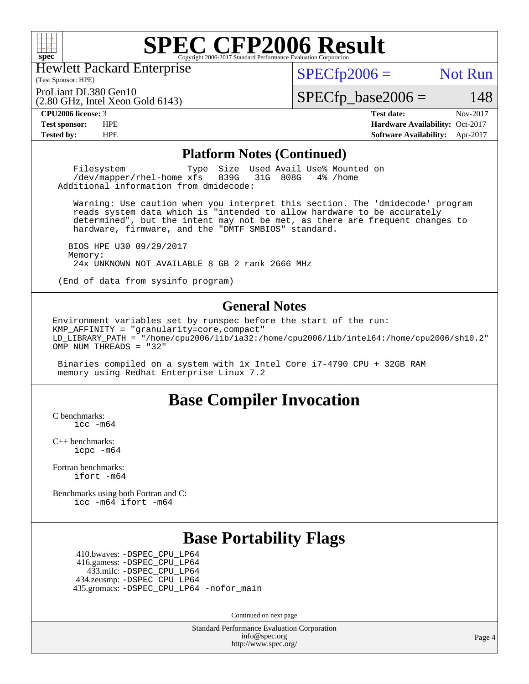

Hewlett Packard Enterprise

(2.80 GHz, Intel Xeon Gold 6143)

(Test Sponsor: HPE)

 $SPECTp2006 =$  Not Run

ProLiant DL380 Gen10

 $SPECfp\_base2006 = 148$ 

**[CPU2006 license:](http://www.spec.org/auto/cpu2006/Docs/result-fields.html#CPU2006license)** 3 **[Test date:](http://www.spec.org/auto/cpu2006/Docs/result-fields.html#Testdate)** Nov-2017 **[Test sponsor:](http://www.spec.org/auto/cpu2006/Docs/result-fields.html#Testsponsor)** HPE **[Hardware Availability:](http://www.spec.org/auto/cpu2006/Docs/result-fields.html#HardwareAvailability)** Oct-2017 **[Tested by:](http://www.spec.org/auto/cpu2006/Docs/result-fields.html#Testedby)** HPE **[Software Availability:](http://www.spec.org/auto/cpu2006/Docs/result-fields.html#SoftwareAvailability)** Apr-2017

#### **[Platform Notes \(Continued\)](http://www.spec.org/auto/cpu2006/Docs/result-fields.html#PlatformNotes)**

Filesystem Type Size Used Avail Use% Mounted on<br>
/dev/mapper/rhel-home xfs 839G 31G 808G 4% /home  $/$ dev/mapper/rhel-home  $xf s$ Additional information from dmidecode:

 Warning: Use caution when you interpret this section. The 'dmidecode' program reads system data which is "intended to allow hardware to be accurately determined", but the intent may not be met, as there are frequent changes to hardware, firmware, and the "DMTF SMBIOS" standard.

 BIOS HPE U30 09/29/2017 Memory: 24x UNKNOWN NOT AVAILABLE 8 GB 2 rank 2666 MHz

(End of data from sysinfo program)

#### **[General Notes](http://www.spec.org/auto/cpu2006/Docs/result-fields.html#GeneralNotes)**

Environment variables set by runspec before the start of the run: KMP\_AFFINITY = "granularity=core,compact" LD\_LIBRARY\_PATH = "/home/cpu2006/lib/ia32:/home/cpu2006/lib/intel64:/home/cpu2006/sh10.2" OMP\_NUM\_THREADS = "32"

 Binaries compiled on a system with 1x Intel Core i7-4790 CPU + 32GB RAM memory using Redhat Enterprise Linux 7.2

### **[Base Compiler Invocation](http://www.spec.org/auto/cpu2006/Docs/result-fields.html#BaseCompilerInvocation)**

[C benchmarks](http://www.spec.org/auto/cpu2006/Docs/result-fields.html#Cbenchmarks): [icc -m64](http://www.spec.org/cpu2006/results/res2017q4/cpu2006-20171114-50653.flags.html#user_CCbase_intel_icc_64bit_bda6cc9af1fdbb0edc3795bac97ada53)

[C++ benchmarks:](http://www.spec.org/auto/cpu2006/Docs/result-fields.html#CXXbenchmarks) [icpc -m64](http://www.spec.org/cpu2006/results/res2017q4/cpu2006-20171114-50653.flags.html#user_CXXbase_intel_icpc_64bit_fc66a5337ce925472a5c54ad6a0de310)

[Fortran benchmarks](http://www.spec.org/auto/cpu2006/Docs/result-fields.html#Fortranbenchmarks): [ifort -m64](http://www.spec.org/cpu2006/results/res2017q4/cpu2006-20171114-50653.flags.html#user_FCbase_intel_ifort_64bit_ee9d0fb25645d0210d97eb0527dcc06e)

[Benchmarks using both Fortran and C](http://www.spec.org/auto/cpu2006/Docs/result-fields.html#BenchmarksusingbothFortranandC): [icc -m64](http://www.spec.org/cpu2006/results/res2017q4/cpu2006-20171114-50653.flags.html#user_CC_FCbase_intel_icc_64bit_bda6cc9af1fdbb0edc3795bac97ada53) [ifort -m64](http://www.spec.org/cpu2006/results/res2017q4/cpu2006-20171114-50653.flags.html#user_CC_FCbase_intel_ifort_64bit_ee9d0fb25645d0210d97eb0527dcc06e)

## **[Base Portability Flags](http://www.spec.org/auto/cpu2006/Docs/result-fields.html#BasePortabilityFlags)**

 410.bwaves: [-DSPEC\\_CPU\\_LP64](http://www.spec.org/cpu2006/results/res2017q4/cpu2006-20171114-50653.flags.html#suite_basePORTABILITY410_bwaves_DSPEC_CPU_LP64) 416.gamess: [-DSPEC\\_CPU\\_LP64](http://www.spec.org/cpu2006/results/res2017q4/cpu2006-20171114-50653.flags.html#suite_basePORTABILITY416_gamess_DSPEC_CPU_LP64) 433.milc: [-DSPEC\\_CPU\\_LP64](http://www.spec.org/cpu2006/results/res2017q4/cpu2006-20171114-50653.flags.html#suite_basePORTABILITY433_milc_DSPEC_CPU_LP64) 434.zeusmp: [-DSPEC\\_CPU\\_LP64](http://www.spec.org/cpu2006/results/res2017q4/cpu2006-20171114-50653.flags.html#suite_basePORTABILITY434_zeusmp_DSPEC_CPU_LP64) 435.gromacs: [-DSPEC\\_CPU\\_LP64](http://www.spec.org/cpu2006/results/res2017q4/cpu2006-20171114-50653.flags.html#suite_basePORTABILITY435_gromacs_DSPEC_CPU_LP64) [-nofor\\_main](http://www.spec.org/cpu2006/results/res2017q4/cpu2006-20171114-50653.flags.html#user_baseLDPORTABILITY435_gromacs_f-nofor_main)

Continued on next page

Standard Performance Evaluation Corporation [info@spec.org](mailto:info@spec.org) <http://www.spec.org/>